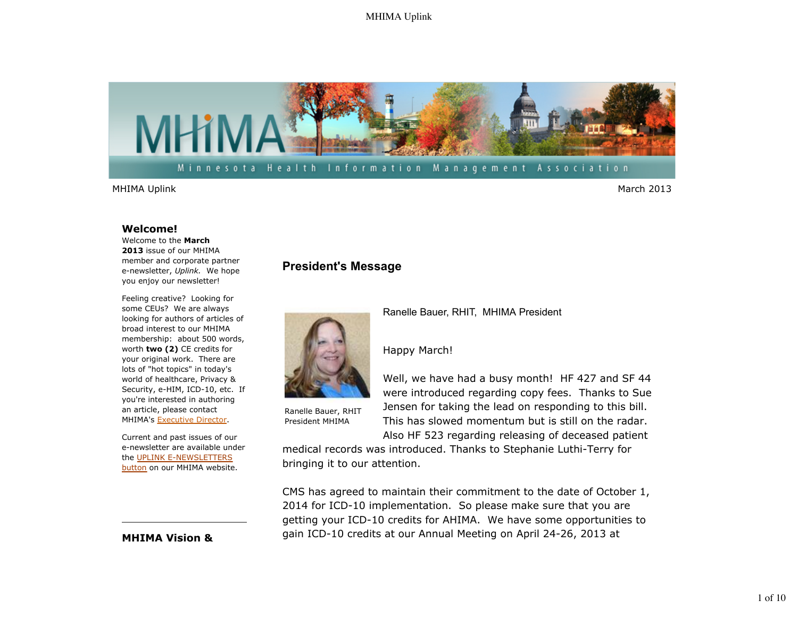

MHIMA Uplink March 2013

#### **Welcome!**

Welcome to the **March 2013** issue of our MHIMA member and corporate partner e-newsletter, *Uplink.* We hope you enjoy our newsletter!

Feeling creative? Looking for some CEUs? We are always looking for authors of articles of broad interest to our MHIMA membership: about 500 words, worth **two (2)** CE credits for your original work. There are lots of "hot topics" in today's world of healthcare, Privacy & Security, e-HIM, ICD-10, etc. If you're interested in authoring an article, please contact MHIMA's Executive Director.

Current and past issues of our e-newsletter are available under the UPLINK E-NEWSLETTERS button on our MHIMA website.

## **MHIMA Vision &**

# **President's Message**



Ranelle Bauer, RHIT President MHIMA

Ranelle Bauer, RHIT, MHIMA President

## Happy March!

Well, we have had a busy month! HF 427 and SF 44 were introduced regarding copy fees. Thanks to Sue Jensen for taking the lead on responding to this bill. This has slowed momentum but is still on the radar.

Also HF 523 regarding releasing of deceased patient

medical records was introduced. Thanks to Stephanie Luthi-Terry for bringing it to our attention.

CMS has agreed to maintain their commitment to the date of October 1, 2014 for ICD-10 implementation. So please make sure that you are getting your ICD-10 credits for AHIMA. We have some opportunities to gain ICD-10 credits at our Annual Meeting on April 24-26, 2013 at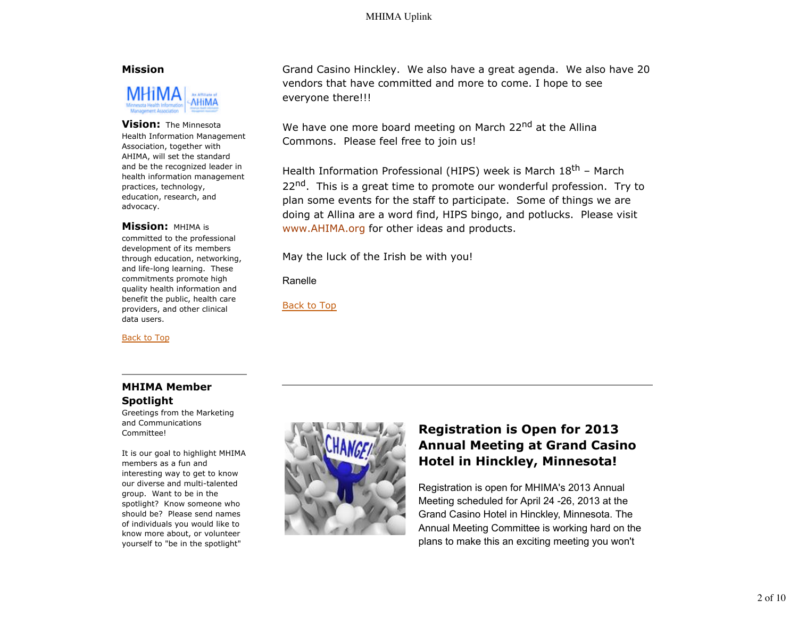### **Mission**



#### **Vision:** The Minnesota

Health Information Management Association, together with AHIMA, will set the standard and be the recognized leader in health information management practices, technology, education, research, and advocacy.

#### **Mission:** MHIMA is

committed to the professional development of its members through education, networking, and life-long learning. These commitments promote high quality health information and benefit the public, health care providers, and other clinical data users.

Back to Top

Grand Casino Hinckley. We also have a great agenda. We also have 20 vendors that have committed and more to come. I hope to see everyone there!!!

We have one more board meeting on March 22<sup>nd</sup> at the Allina Commons. Please feel free to join us!

Health Information Professional (HIPS) week is March 18<sup>th</sup> - March 22<sup>nd</sup>. This is a great time to promote our wonderful profession. Try to plan some events for the staff to participate. Some of things we are doing at Allina are a word find, HIPS bingo, and potlucks. Please visit www.AHIMA.org for other ideas and products.

May the luck of the Irish be with you!

### Ranelle

Back to Top

# **MHIMA Member Spotlight**

Greetings from the Marketing and Communications Committee!

It is our goal to highlight MHIMA members as a fun and interesting way to get to know our diverse and multi-talented group. Want to be in the spotlight? Know someone who should be? Please send names of individuals you would like to know more about, or volunteer yourself to "be in the spotlight"



# **Registration is Open for 2013 Annual Meeting at Grand Casino Hotel in Hinckley, Minnesota!**

Registration is open for MHIMA's 2013 Annual Meeting scheduled for April 24 -26, 2013 at the Grand Casino Hotel in Hinckley, Minnesota. The Annual Meeting Committee is working hard on the plans to make this an exciting meeting you won't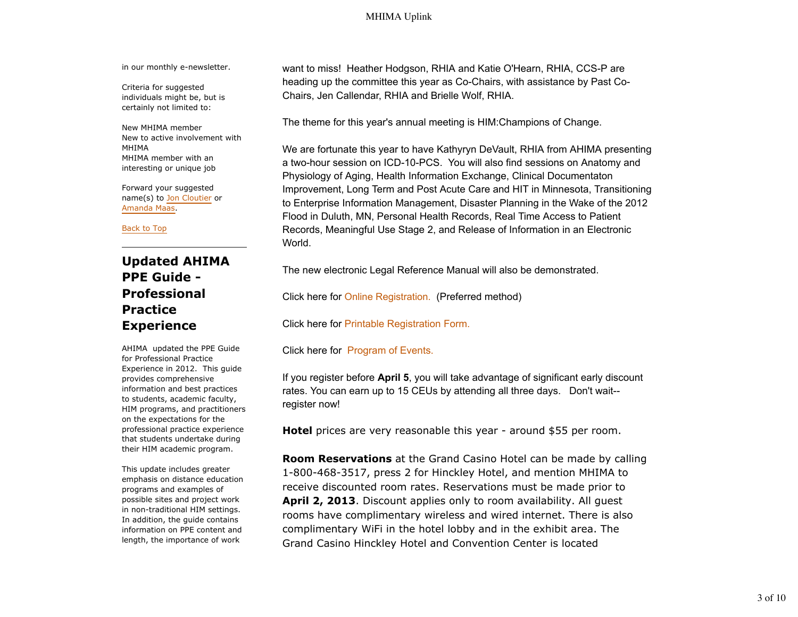in our monthly e-newsletter.

Criteria for suggested individuals might be, but is certainly not limited to:

New MHIMA member New to active involvement with MHIMA MHIMA member with an interesting or unique job

Forward your suggested name(s) to Jon Cloutier or Amanda Maas.

Back to Top

# **Updated AHIMA PPE Guide - Professional Practice Experience**

AHIMA updated the PPE Guide for Professional Practice Experience in 2012. This guide provides comprehensive information and best practices to students, academic faculty, HIM programs, and practitioners on the expectations for the professional practice experience that students undertake during their HIM academic program.

This update includes greater emphasis on distance education programs and examples of possible sites and project work in non-traditional HIM settings. In addition, the guide contains information on PPE content and length, the importance of work

want to miss! Heather Hodgson, RHIA and Katie O'Hearn, RHIA, CCS-P are heading up the committee this year as Co-Chairs, with assistance by Past Co-Chairs, Jen Callendar, RHIA and Brielle Wolf, RHIA.

The theme for this year's annual meeting is HIM:Champions of Change.

We are fortunate this year to have Kathyryn DeVault, RHIA from AHIMA presenting a two-hour session on ICD-10-PCS. You will also find sessions on Anatomy and Physiology of Aging, Health Information Exchange, Clinical Documentaton Improvement, Long Term and Post Acute Care and HIT in Minnesota, Transitioning to Enterprise Information Management, Disaster Planning in the Wake of the 2012 Flood in Duluth, MN, Personal Health Records, Real Time Access to Patient Records, Meaningful Use Stage 2, and Release of Information in an Electronic World.

The new electronic Legal Reference Manual will also be demonstrated.

Click here for Online Registration. (Preferred method)

Click here for Printable Registration Form.

Click here for Program of Events.

If you register before **April 5**, you will take advantage of significant early discount rates. You can earn up to 15 CEUs by attending all three days. Don't wait- register now!

**Hotel** prices are very reasonable this year - around \$55 per room.

**Room Reservations** at the Grand Casino Hotel can be made by calling 1-800-468-3517, press 2 for Hinckley Hotel, and mention MHIMA to receive discounted room rates. Reservations must be made prior to **April 2, 2013**. Discount applies only to room availability. All guest rooms have complimentary wireless and wired internet. There is also complimentary WiFi in the hotel lobby and in the exhibit area. The Grand Casino Hinckley Hotel and Convention Center is located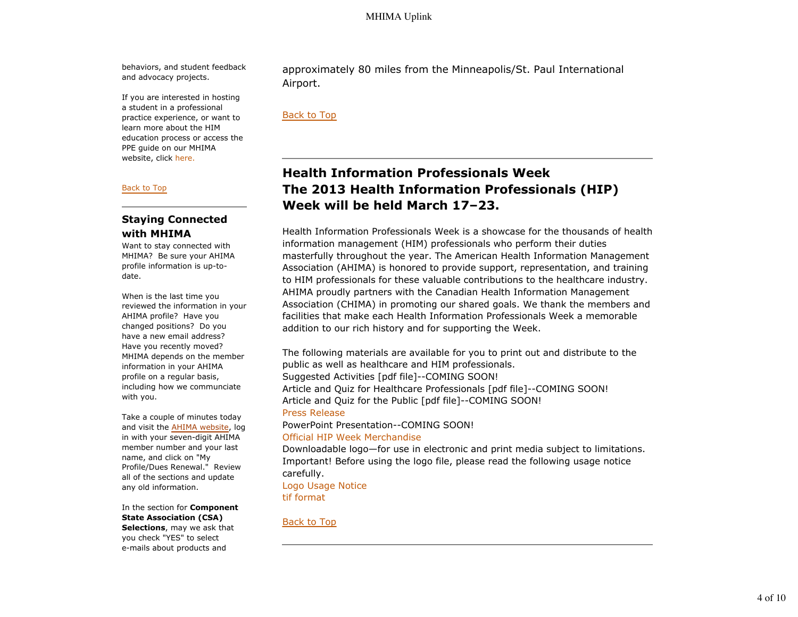behaviors, and student feedback and advocacy projects.

If you are interested in hosting a student in a professional practice experience, or want to learn more about the HIM education process or access the PPE guide on our MHIMA website, click here.

#### Back to Top

## **Staying Connected with MHIMA**

Want to stay connected with MHIMA? Be sure your AHIMA profile information is up-todate.

When is the last time you reviewed the information in your AHIMA profile? Have you changed positions? Do you have a new email address? Have you recently moved? MHIMA depends on the member information in your AHIMA profile on a regular basis, including how we communciate with you.

Take a couple of minutes today and visit the AHIMA website, log in with your seven-digit AHIMA member number and your last name, and click on "My Profile/Dues Renewal." Review all of the sections and update any old information.

In the section for **Component State Association (CSA) Selections**, may we ask that you check "YES" to select e-mails about products and

approximately 80 miles from the Minneapolis/St. Paul International Airport.

#### Back to Top

# **Health Information Professionals Week The 2013 Health Information Professionals (HIP) Week will be held March 17–23.**

Health Information Professionals Week is a showcase for the thousands of health information management (HIM) professionals who perform their duties masterfully throughout the year. The American Health Information Management Association (AHIMA) is honored to provide support, representation, and training to HIM professionals for these valuable contributions to the healthcare industry. AHIMA proudly partners with the Canadian Health Information Management Association (CHIMA) in promoting our shared goals. We thank the members and facilities that make each Health Information Professionals Week a memorable addition to our rich history and for supporting the Week.

The following materials are available for you to print out and distribute to the public as well as healthcare and HIM professionals. Suggested Activities [pdf file]--COMING SOON! Article and Quiz for Healthcare Professionals [pdf file]--COMING SOON! Article and Quiz for the Public [pdf file]--COMING SOON! Press Release

PowerPoint Presentation--COMING SOON!

#### Official HIP Week Merchandise

Downloadable logo—for use in electronic and print media subject to limitations. Important! Before using the logo file, please read the following usage notice carefully. Logo Usage Notice

tif format

#### Back to Top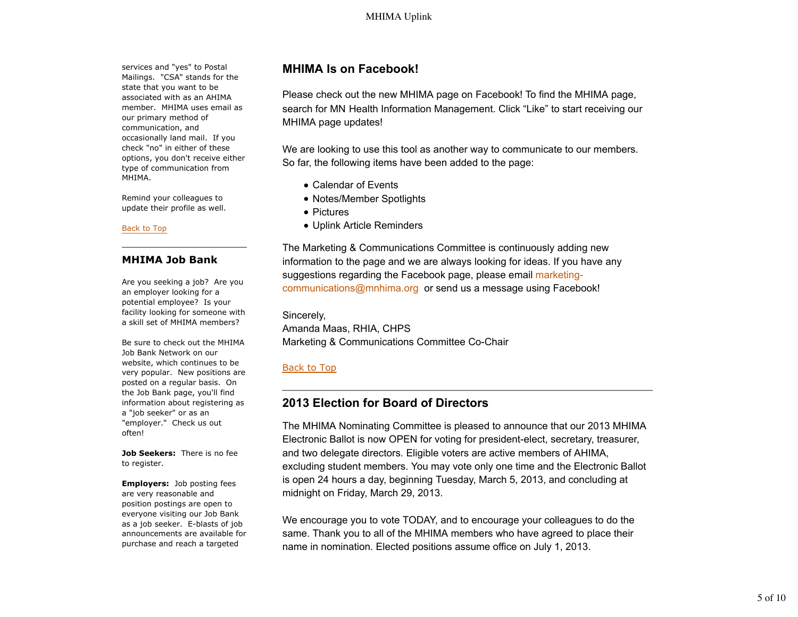services and "yes" to Postal Mailings. "CSA" stands for the state that you want to be associated with as an AHIMA member. MHIMA uses email as our primary method of communication, and occasionally land mail. If you check "no" in either of these options, you don't receive either type of communication from MHIMA.

Remind your colleagues to update their profile as well.

#### Back to Top

### **MHIMA Job Bank**

Are you seeking a job? Are you an employer looking for a potential employee? Is your facility looking for someone with a skill set of MHIMA members?

Be sure to check out the MHIMA Job Bank Network on our website, which continues to be very popular. New positions are posted on a regular basis. On the Job Bank page, you'll find information about registering as a "job seeker" or as an "employer." Check us out often!

**Job Seekers:** There is no fee to register.

**Employers:** Job posting fees are very reasonable and position postings are open to everyone visiting our Job Bank as a job seeker. E-blasts of job announcements are available for purchase and reach a targeted

# **MHIMA Is on Facebook!**

Please check out the new MHIMA page on Facebook! To find the MHIMA page, search for MN Health Information Management. Click "Like" to start receiving our MHIMA page updates!

We are looking to use this tool as another way to communicate to our members. So far, the following items have been added to the page:

- Calendar of Events
- Notes/Member Spotlights
- Pictures
- Uplink Article Reminders

The Marketing & Communications Committee is continuously adding new information to the page and we are always looking for ideas. If you have any suggestions regarding the Facebook page, please email marketingcommunications@mnhima.org or send us a message using Facebook!

Sincerely, Amanda Maas, RHIA, CHPS Marketing & Communications Committee Co-Chair

### Back to Top

# **2013 Election for Board of Directors**

The MHIMA Nominating Committee is pleased to announce that our 2013 MHIMA Electronic Ballot is now OPEN for voting for president-elect, secretary, treasurer, and two delegate directors. Eligible voters are active members of AHIMA, excluding student members. You may vote only one time and the Electronic Ballot is open 24 hours a day, beginning Tuesday, March 5, 2013, and concluding at midnight on Friday, March 29, 2013.

We encourage you to vote TODAY, and to encourage your colleagues to do the same. Thank you to all of the MHIMA members who have agreed to place their name in nomination. Elected positions assume office on July 1, 2013.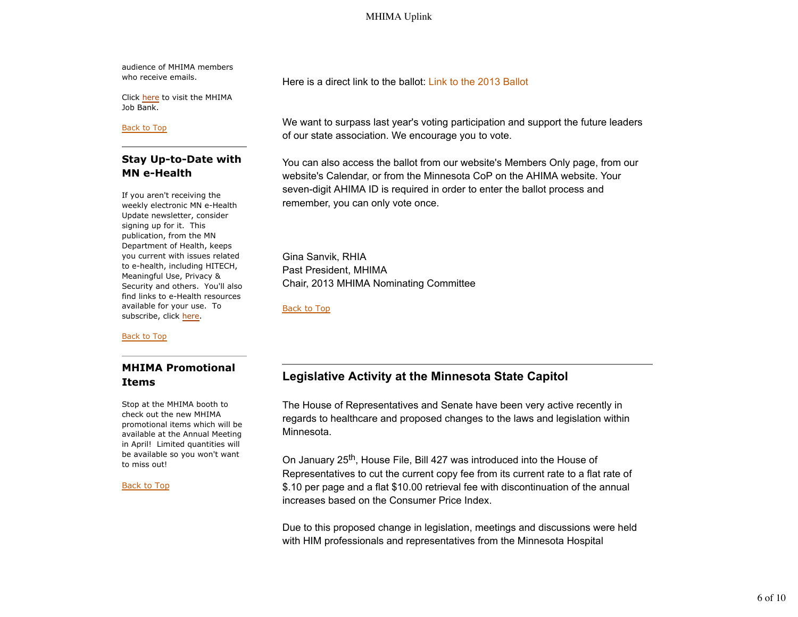audience of MHIMA members who receive emails.

Click here to visit the MHIMA Job Bank.

#### Back to Top

# **Stay Up-to-Date with MN e-Health**

If you aren't receiving the weekly electronic MN e-Health Update newsletter, consider signing up for it. This publication, from the MN Department of Health, keeps you current with issues related to e-health, including HITECH, Meaningful Use, Privacy & Security and others. You'll also find links to e-Health resources available for your use. To subscribe, click here.

Back to Top

# **MHIMA Promotional Items**

Stop at the MHIMA booth to check out the new MHIMA promotional items which will be available at the Annual Meeting in April! Limited quantities will be available so you won't want to miss out!

### Back to Top

Here is a direct link to the ballot: Link to the 2013 Ballot

We want to surpass last year's voting participation and support the future leaders of our state association. We encourage you to vote.

You can also access the ballot from our website's Members Only page, from our website's Calendar, or from the Minnesota CoP on the AHIMA website. Your seven-digit AHIMA ID is required in order to enter the ballot process and remember, you can only vote once.

Gina Sanvik, RHIA Past President, MHIMA Chair, 2013 MHIMA Nominating Committee

Back to Top

# **Legislative Activity at the Minnesota State Capitol**

The House of Representatives and Senate have been very active recently in regards to healthcare and proposed changes to the laws and legislation within Minnesota.

On January 25th, House File, Bill 427 was introduced into the House of Representatives to cut the current copy fee from its current rate to a flat rate of \$.10 per page and a flat \$10.00 retrieval fee with discontinuation of the annual increases based on the Consumer Price Index.

Due to this proposed change in legislation, meetings and discussions were held with HIM professionals and representatives from the Minnesota Hospital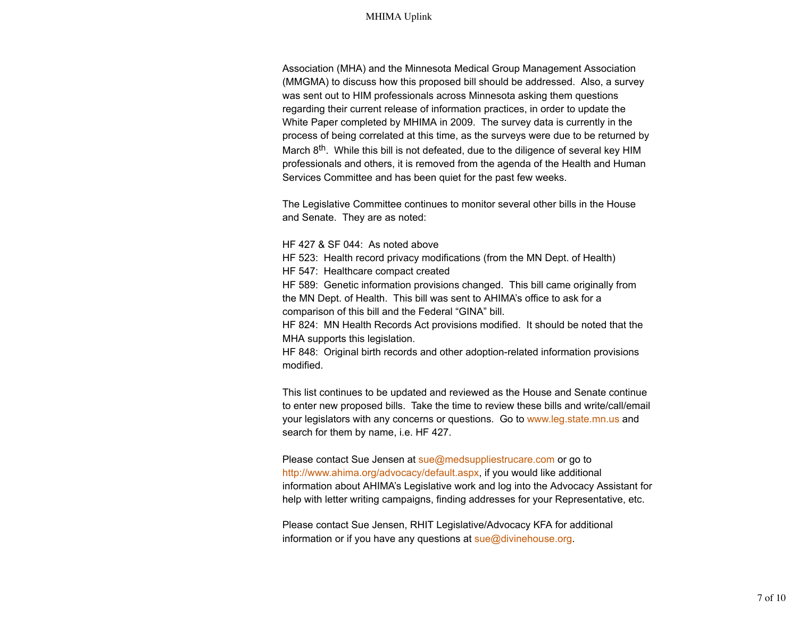Association (MHA) and the Minnesota Medical Group Management Association (MMGMA) to discuss how this proposed bill should be addressed. Also, a survey was sent out to HIM professionals across Minnesota asking them questions regarding their current release of information practices, in order to update the White Paper completed by MHIMA in 2009. The survey data is currently in the process of being correlated at this time, as the surveys were due to be returned by March 8<sup>th</sup>. While this bill is not defeated, due to the diligence of several key HIM professionals and others, it is removed from the agenda of the Health and Human Services Committee and has been quiet for the past few weeks.

The Legislative Committee continues to monitor several other bills in the House and Senate. They are as noted:

HF 427 & SF 044: As noted above

HF 523: Health record privacy modifications (from the MN Dept. of Health)

HF 547: Healthcare compact created

HF 589: Genetic information provisions changed. This bill came originally from the MN Dept. of Health. This bill was sent to AHIMA's office to ask for a comparison of this bill and the Federal "GINA" bill.

HF 824: MN Health Records Act provisions modified. It should be noted that the MHA supports this legislation.

HF 848: Original birth records and other adoption-related information provisions modified.

This list continues to be updated and reviewed as the House and Senate continue to enter new proposed bills. Take the time to review these bills and write/call/email your legislators with any concerns or questions. Go to www.leg.state.mn.us and search for them by name, i.e. HF 427.

Please contact Sue Jensen at sue@medsuppliestrucare.com or go to http://www.ahima.org/advocacy/default.aspx, if you would like additional information about AHIMA's Legislative work and log into the Advocacy Assistant for help with letter writing campaigns, finding addresses for your Representative, etc.

Please contact Sue Jensen, RHIT Legislative/Advocacy KFA for additional information or if you have any questions at sue@divinehouse.org.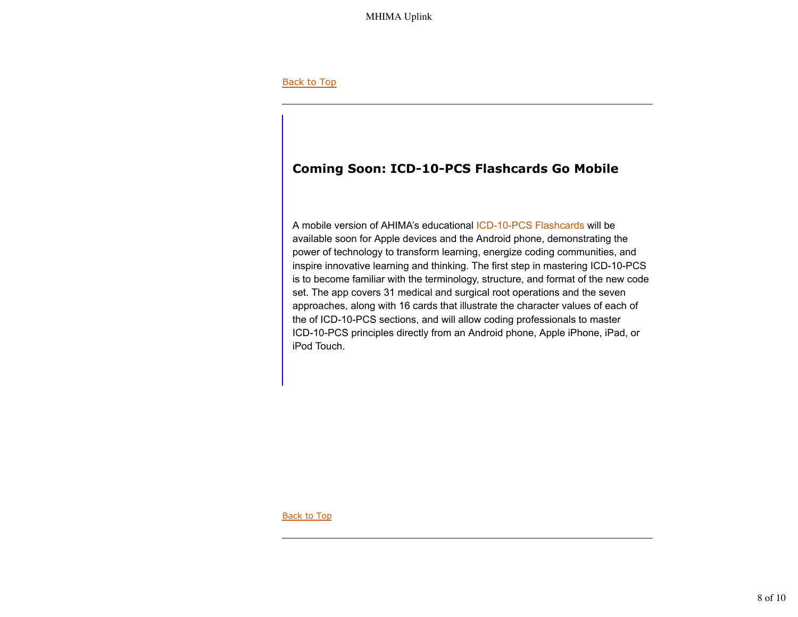### Back to Top

# **Coming Soon: ICD-10-PCS Flashcards Go Mobile**

A mobile version of AHIMA's educational ICD-10-PCS Flashcards will be available soon for Apple devices and the Android phone, demonstrating the power of technology to transform learning, energize coding communities, and inspire innovative learning and thinking. The first step in mastering ICD-10-PCS is to become familiar with the terminology, structure, and format of the new code set. The app covers 31 medical and surgical root operations and the seven approaches, along with 16 cards that illustrate the character values of each of the of ICD-10-PCS sections, and will allow coding professionals to master ICD-10-PCS principles directly from an Android phone, Apple iPhone, iPad, or iPod Touch.

Back to Top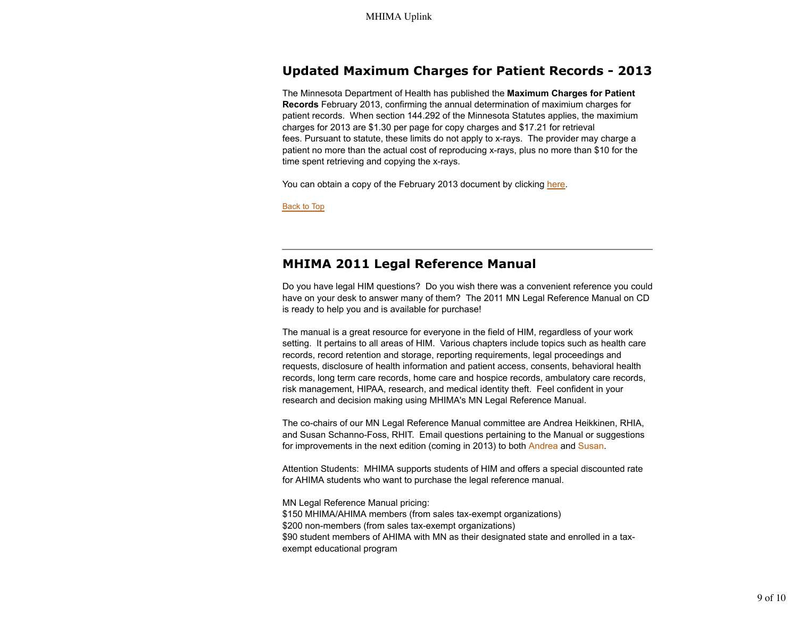# **Updated Maximum Charges for Patient Records - 2013**

The Minnesota Department of Health has published the **Maximum Charges for Patient Records** February 2013, confirming the annual determination of maximium charges for patient records. When section 144.292 of the Minnesota Statutes applies, the maximium charges for 2013 are \$1.30 per page for copy charges and \$17.21 for retrieval fees. Pursuant to statute, these limits do not apply to x-rays. The provider may charge a patient no more than the actual cost of reproducing x-rays, plus no more than \$10 for the time spent retrieving and copying the x-rays.

You can obtain a copy of the February 2013 document by clicking here.

Back to Top

# **MHIMA 2011 Legal Reference Manual**

Do you have legal HIM questions? Do you wish there was a convenient reference you could have on your desk to answer many of them? The 2011 MN Legal Reference Manual on CD is ready to help you and is available for purchase!

The manual is a great resource for everyone in the field of HIM, regardless of your work setting. It pertains to all areas of HIM. Various chapters include topics such as health care records, record retention and storage, reporting requirements, legal proceedings and requests, disclosure of health information and patient access, consents, behavioral health records, long term care records, home care and hospice records, ambulatory care records, risk management, HIPAA, research, and medical identity theft. Feel confident in your research and decision making using MHIMA's MN Legal Reference Manual.

The co-chairs of our MN Legal Reference Manual committee are Andrea Heikkinen, RHIA, and Susan Schanno-Foss, RHIT. Email questions pertaining to the Manual or suggestions for improvements in the next edition (coming in 2013) to both Andrea and Susan.

Attention Students: MHIMA supports students of HIM and offers a special discounted rate for AHIMA students who want to purchase the legal reference manual.

MN Legal Reference Manual pricing:

\$150 MHIMA/AHIMA members (from sales tax-exempt organizations) \$200 non-members (from sales tax-exempt organizations) \$90 student members of AHIMA with MN as their designated state and enrolled in a taxexempt educational program